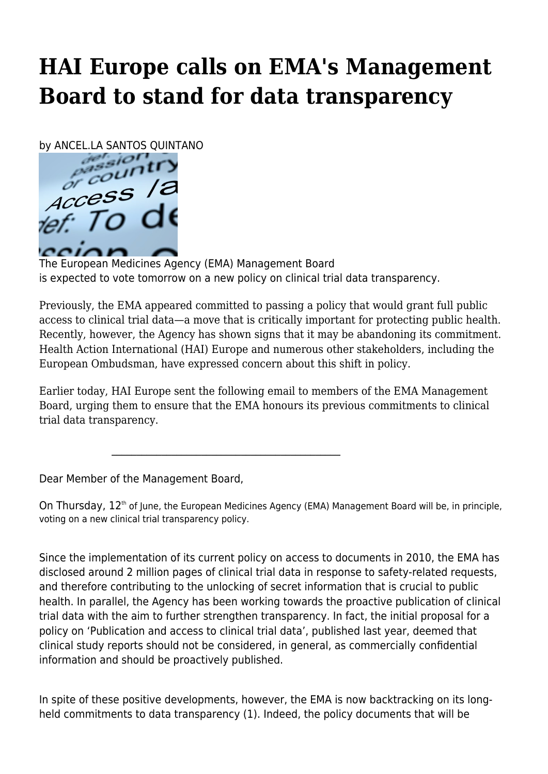## **HAI Europe calls on EMA's Management Board to stand for data transparency**

by ANCEL.LA SANTOS QUINTANO



The European Medicines Agency (EMA) Management Board is expected to vote tomorrow on a new policy on clinical trial data transparency.

Previously, the EMA appeared committed to passing a policy that would grant full public access to clinical trial data—a move that is critically important for protecting public health. Recently, however, the Agency has shown signs that it may be abandoning its commitment. Health Action International (HAI) Europe and numerous other stakeholders, including the European Ombudsman, have expressed concern about this shift in policy.

Earlier today, HAI Europe sent the following email to members of the EMA Management Board, urging them to ensure that the EMA honours its previous commitments to clinical trial data transparency.

Dear Member of the Management Board,

 $\mathcal{L}_\mathcal{L} = \{ \mathcal{L}_\mathcal{L} = \{ \mathcal{L}_\mathcal{L} = \{ \mathcal{L}_\mathcal{L} = \{ \mathcal{L}_\mathcal{L} = \{ \mathcal{L}_\mathcal{L} = \{ \mathcal{L}_\mathcal{L} = \{ \mathcal{L}_\mathcal{L} = \{ \mathcal{L}_\mathcal{L} = \{ \mathcal{L}_\mathcal{L} = \{ \mathcal{L}_\mathcal{L} = \{ \mathcal{L}_\mathcal{L} = \{ \mathcal{L}_\mathcal{L} = \{ \mathcal{L}_\mathcal{L} = \{ \mathcal{L}_\mathcal{$ 

On Thursday, 12<sup>th</sup> of June, the European Medicines Agency (EMA) Management Board will be, in principle, voting on a new clinical trial transparency policy.

Since the implementation of its current policy on access to documents in 2010, the EMA has disclosed around 2 million pages of clinical trial data in response to safety-related requests, and therefore contributing to the unlocking of secret information that is crucial to public health. In parallel, the Agency has been working towards the proactive publication of clinical trial data with the aim to further strengthen transparency. In fact, the initial proposal for a policy on 'Publication and access to clinical trial data', published last year, deemed that clinical study reports should not be considered, in general, as commercially confidential information and should be proactively published.

In spite of these positive developments, however, the EMA is now backtracking on its longheld commitments to data transparency (1). Indeed, the policy documents that will be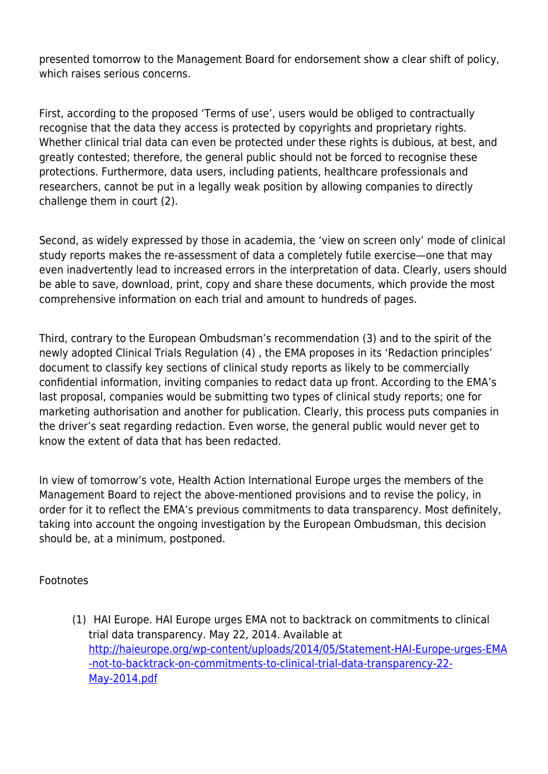presented tomorrow to the Management Board for endorsement show a clear shift of policy, which raises serious concerns.

First, according to the proposed 'Terms of use', users would be obliged to contractually recognise that the data they access is protected by copyrights and proprietary rights. Whether clinical trial data can even be protected under these rights is dubious, at best, and greatly contested; therefore, the general public should not be forced to recognise these protections. Furthermore, data users, including patients, healthcare professionals and researchers, cannot be put in a legally weak position by allowing companies to directly challenge them in court (2).

Second, as widely expressed by those in academia, the 'view on screen only' mode of clinical study reports makes the re-assessment of data a completely futile exercise—one that may even inadvertently lead to increased errors in the interpretation of data. Clearly, users should be able to save, download, print, copy and share these documents, which provide the most comprehensive information on each trial and amount to hundreds of pages.

Third, contrary to the European Ombudsman's recommendation (3) and to the spirit of the newly adopted Clinical Trials Regulation (4) , the EMA proposes in its 'Redaction principles' document to classify key sections of clinical study reports as likely to be commercially confidential information, inviting companies to redact data up front. According to the EMA's last proposal, companies would be submitting two types of clinical study reports; one for marketing authorisation and another for publication. Clearly, this process puts companies in the driver's seat regarding redaction. Even worse, the general public would never get to know the extent of data that has been redacted.

In view of tomorrow's vote, Health Action International Europe urges the members of the Management Board to reject the above-mentioned provisions and to revise the policy, in order for it to reflect the EMA's previous commitments to data transparency. Most definitely, taking into account the ongoing investigation by the European Ombudsman, this decision should be, at a minimum, postponed.

## Footnotes

(1) HAI Europe. HAI Europe urges EMA not to backtrack on commitments to clinical trial data transparency. May 22, 2014. Available at [http://haieurope.org/wp-content/uploads/2014/05/Statement-HAI-Europe-urges-EMA](http://haieurope.org/wp-content/uploads/2014/05/Statement-HAI-Europe-urges-EMA-not-to-backtrack-on-commitments-to-clinical-trial-data-transparency-22-May-2014.pdf) [-not-to-backtrack-on-commitments-to-clinical-trial-data-transparency-22-](http://haieurope.org/wp-content/uploads/2014/05/Statement-HAI-Europe-urges-EMA-not-to-backtrack-on-commitments-to-clinical-trial-data-transparency-22-May-2014.pdf) [May-2014.pdf](http://haieurope.org/wp-content/uploads/2014/05/Statement-HAI-Europe-urges-EMA-not-to-backtrack-on-commitments-to-clinical-trial-data-transparency-22-May-2014.pdf)